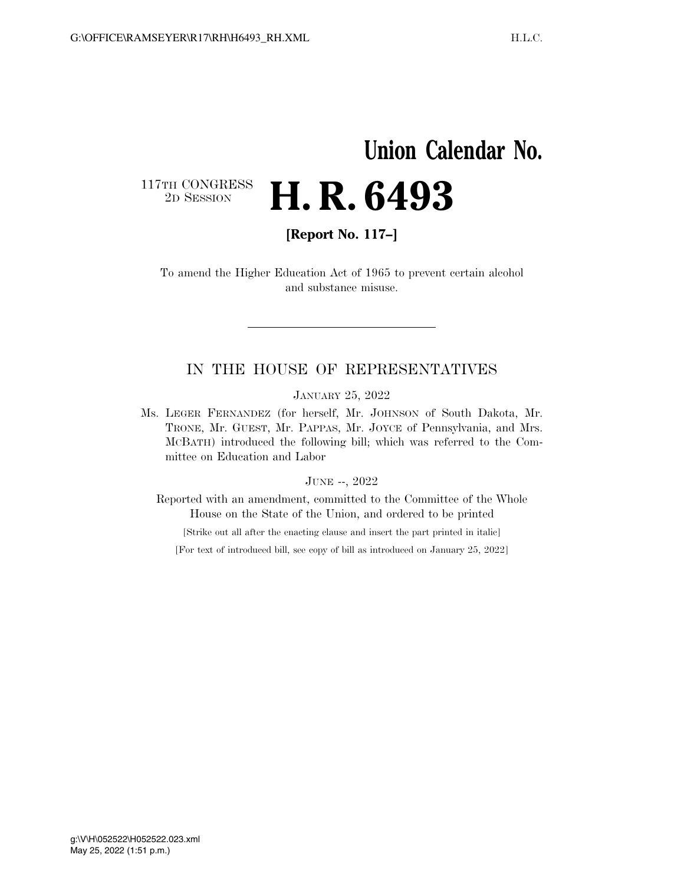## **Union Calendar No.**  117TH CONGRESS<br>2D SESSION 2D SESSION **H. R. 6493**

**[Report No. 117–]** 

To amend the Higher Education Act of 1965 to prevent certain alcohol and substance misuse.

### IN THE HOUSE OF REPRESENTATIVES

JANUARY 25, 2022

Ms. LEGER FERNANDEZ (for herself, Mr. JOHNSON of South Dakota, Mr. TRONE, Mr. GUEST, Mr. PAPPAS, Mr. JOYCE of Pennsylvania, and Mrs. MCBATH) introduced the following bill; which was referred to the Committee on Education and Labor

#### JUNE --, 2022

Reported with an amendment, committed to the Committee of the Whole House on the State of the Union, and ordered to be printed

[Strike out all after the enacting clause and insert the part printed in italic]

[For text of introduced bill, see copy of bill as introduced on January 25, 2022]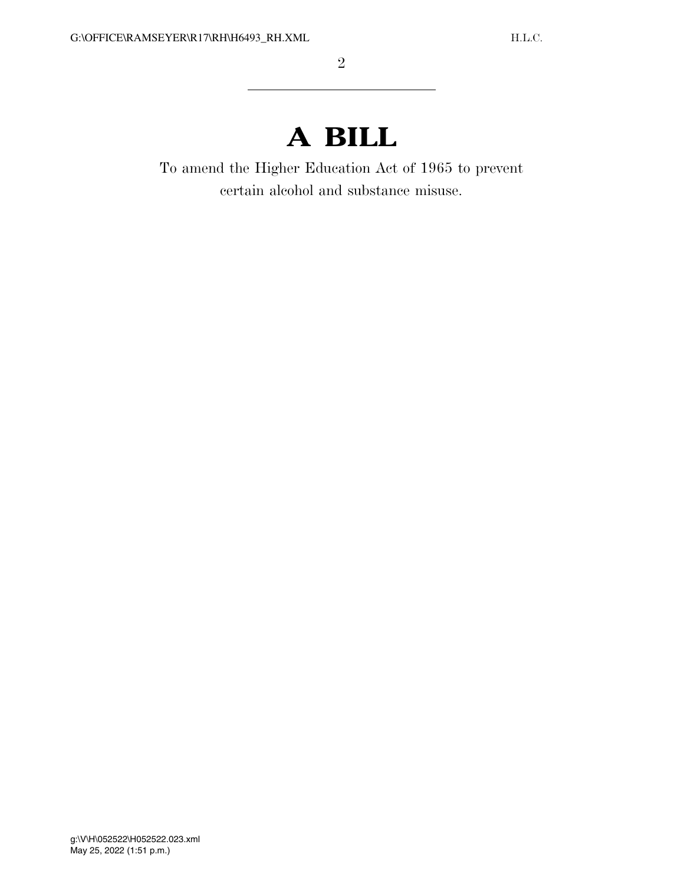# **A BILL**

To amend the Higher Education Act of 1965 to prevent certain alcohol and substance misuse.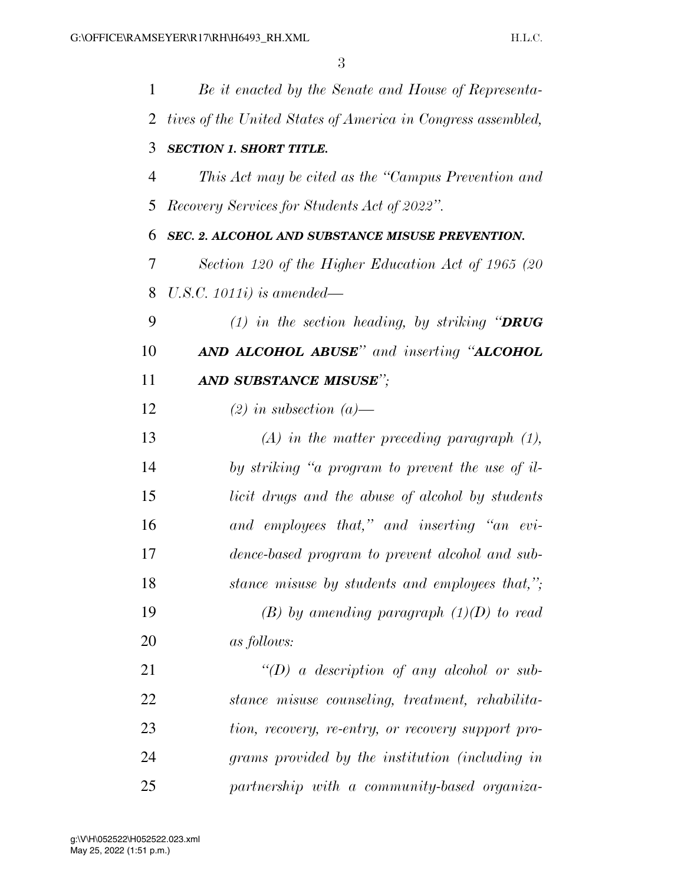| $\mathbf{1}$   | Be it enacted by the Senate and House of Representa-         |
|----------------|--------------------------------------------------------------|
| $\overline{2}$ | tives of the United States of America in Congress assembled, |
| 3              | <b>SECTION 1. SHORT TITLE.</b>                               |
| 4              | This Act may be cited as the "Campus Prevention and          |
| 5              | Recovery Services for Students Act of 2022".                 |
| 6              | SEC. 2. ALCOHOL AND SUBSTANCE MISUSE PREVENTION.             |
| 7              | Section 120 of the Higher Education Act of 1965 (20          |
| 8              | U.S.C. $1011i$ ) is amended—                                 |
| 9              | (1) in the section heading, by striking "DRUG                |
| 10             | <b>AND ALCOHOL ABUSE</b> " and inserting " <b>ALCOHOL</b>    |
| 11             | AND SUBSTANCE MISUSE";                                       |
| 12             | $(2)$ in subsection $(a)$ —                                  |
| 13             | $(A)$ in the matter preceding paragraph $(1)$ ,              |
| 14             | by striking "a program to prevent the use of il-             |
| 15             | licit drugs and the abuse of alcohol by students             |
| 16             | and employees that," and inserting "an evi-                  |
| 17             | dence-based program to prevent alcohol and sub-              |
| 18             | stance misuse by students and employees that,";              |
| 19             | $(B)$ by amending paragraph $(1)(D)$ to read                 |
| 20             | <i>as follows:</i>                                           |
| 21             | "(D) a description of any alcohol or sub-                    |
| 22             | stance misuse counseling, treatment, rehabilita-             |
| 23             | tion, recovery, re-entry, or recovery support pro-           |
| 24             | grams provided by the institution (including in              |
| 25             | partnership with a community-based organiza-                 |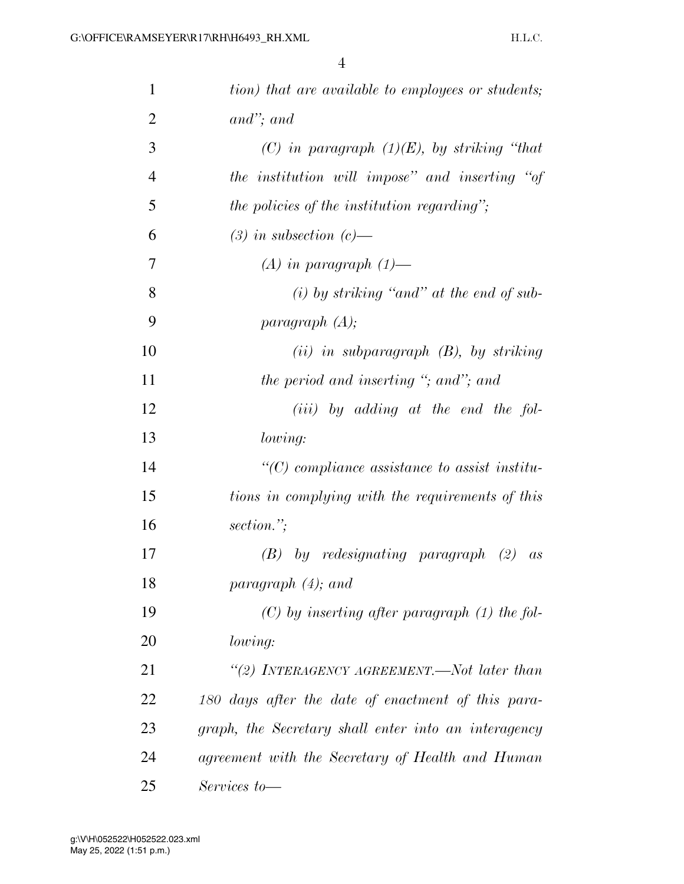| $\mathbf{1}$   | tion) that are available to employees or students;              |
|----------------|-----------------------------------------------------------------|
| $\overline{2}$ | $and$ "; and                                                    |
| 3              | (C) in paragraph $(1)(E)$ , by striking "that                   |
| $\overline{4}$ | the institution will impose" and inserting "of                  |
| 5              | the policies of the institution regarding";                     |
| 6              | $(3)$ in subsection $(c)$ —                                     |
| 7              | $(A)$ in paragraph $(1)$ —                                      |
| 8              | (i) by striking "and" at the end of sub-                        |
| 9              | paragnph(A);                                                    |
| 10             | $(ii)$ in subparagraph $(B)$ , by striking                      |
| 11             | the period and inserting "; and"; and                           |
| 12             | $(iii)$ by adding at the end the fol-                           |
| 13             | lowing:                                                         |
| 14             | $\lq$ <sup>"</sup> (C) compliance assistance to assist institu- |
| 15             | tions in complying with the requirements of this                |
| 16             | section.";                                                      |
| 17             | $(B)$ by redesignating paragraph $(2)$<br>as                    |
| 18             | paragraph $(4)$ ; and                                           |
| 19             | $(C)$ by inserting after paragraph $(1)$ the fol-               |
| 20             | lowing:                                                         |
| 21             | "(2) INTERAGENCY AGREEMENT.—Not later than                      |
| 22             | 180 days after the date of enactment of this para-              |
| 23             | graph, the Secretary shall enter into an interagency            |
| 24             | agreement with the Secretary of Health and Human                |
| 25             | Services to-                                                    |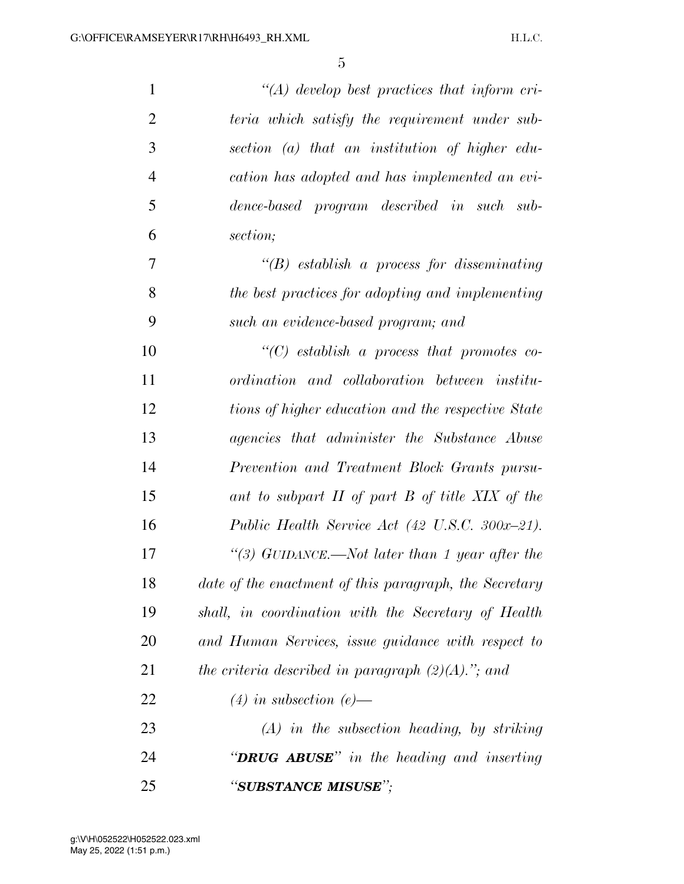| $\mathbf{1}$   | $\lq (A)$ develop best practices that inform cri-      |
|----------------|--------------------------------------------------------|
| $\overline{2}$ | teria which satisfy the requirement under sub-         |
| 3              | section $(a)$ that an institution of higher edu-       |
| $\overline{4}$ | cation has adopted and has implemented an evi-         |
| 5              | dence-based program described in such sub-             |
| 6              | section;                                               |
| 7              | $\lq\lq(B)$ establish a process for disseminating      |
| 8              | the best practices for adopting and implementing       |
| 9              | such an evidence-based program; and                    |
| 10             | $\lq\lq C$ establish a process that promotes co-       |
| 11             | ordination and collaboration between institu-          |
| 12             | tions of higher education and the respective State     |
| 13             | agencies that administer the Substance Abuse           |
| 14             | Prevention and Treatment Block Grants pursu-           |
| 15             | ant to subpart II of part B of title XIX of the        |
| 16             | Public Health Service Act (42 U.S.C. 300x-21).         |
| 17             | "(3) GUIDANCE.—Not later than 1 year after the         |
| 18             | date of the enactment of this paragraph, the Secretary |
| 19             | shall, in coordination with the Secretary of Health    |
| 20             | and Human Services, issue guidance with respect to     |
| 21             | the criteria described in paragraph $(2)(A)$ ."; and   |
| 22             | $(4)$ in subsection $(e)$ —                            |
| 23             | $(A)$ in the subsection heading, by striking           |
| 24             | " <b>DRUG ABUSE</b> " in the heading and inserting     |
| 25             | "SUBSTANCE MISUSE";                                    |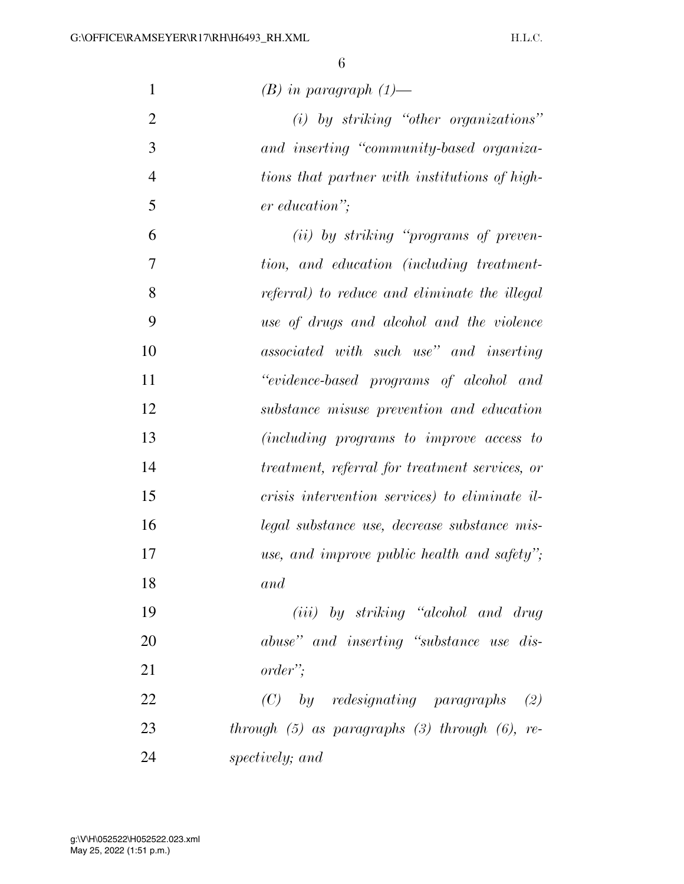| $\mathbf{1}$   | $(B)$ in paragraph $(1)$ —                            |
|----------------|-------------------------------------------------------|
| $\overline{2}$ | $(i)$ by striking "other organizations"               |
| 3              | and inserting "community-based organiza-              |
| $\overline{4}$ | tions that partner with institutions of high-         |
| 5              | er education";                                        |
| 6              | (ii) by striking "programs of preven-                 |
| 7              | tion, and education (including treatment-             |
| 8              | referral) to reduce and eliminate the illegal         |
| 9              | use of drugs and alcohol and the violence             |
| 10             | associated with such use" and inserting               |
| 11             | "evidence-based programs of alcohol and               |
| 12             | substance misuse prevention and education             |
| 13             | (including programs to improve access to              |
| 14             | treatment, referral for treatment services, or        |
| 15             | crisis intervention services) to eliminate il-        |
| 16             | legal substance use, decrease substance mis-          |
| 17             | use, and improve public health and safety";           |
| 18             | and                                                   |
| 19             | (iii) by striking "alcohol and drug                   |
| 20             | abuse" and inserting "substance use dis-              |
| 21             | order":                                               |
| 22             | $(C)$ by redesignating paragraphs $(2)$               |
| 23             | through $(5)$ as paragraphs $(3)$ through $(6)$ , re- |
| 24             | spectively; and                                       |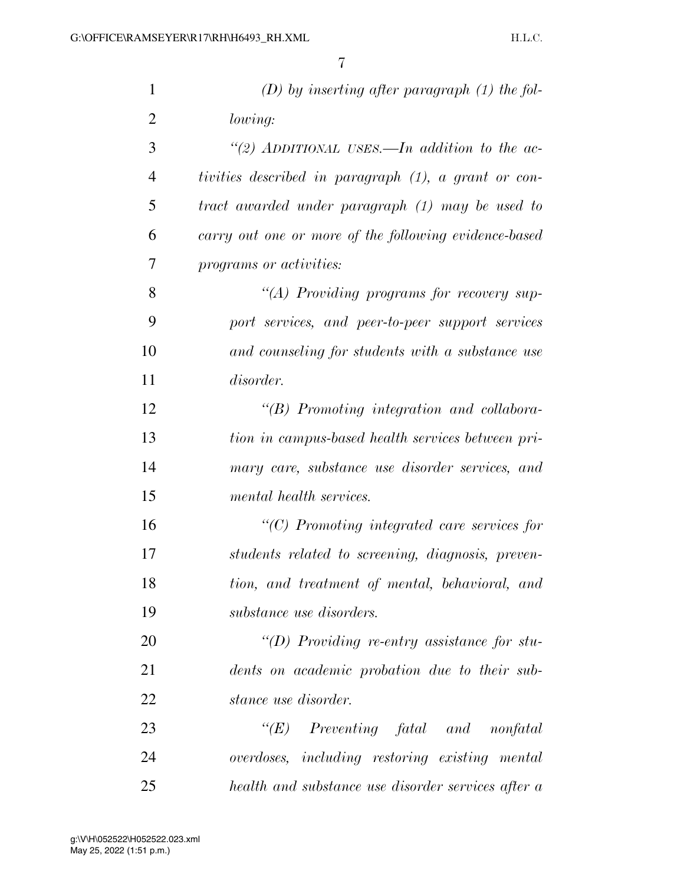| $\mathbf{1}$   | $(D)$ by inserting after paragraph $(1)$ the fol-     |
|----------------|-------------------------------------------------------|
| $\overline{2}$ | lowing:                                               |
| 3              | "(2) ADDITIONAL USES.—In addition to the ac-          |
| $\overline{4}$ | tivities described in paragraph (1), a grant or con-  |
| 5              | tract awarded under paragraph (1) may be used to      |
| 6              | carry out one or more of the following evidence-based |
| 7              | programs or activities:                               |
| 8              | "(A) Providing programs for recovery sup-             |
| 9              | port services, and peer-to-peer support services      |
| 10             | and counseling for students with a substance use      |
| 11             | disorder.                                             |
| 12             | $\lq\lq B$ ) Promoting integration and collabora-     |
| 13             | tion in campus-based health services between pri-     |
| 14             | mary care, substance use disorder services, and       |
| 15             | mental health services.                               |
| 16             | $\lq\lq C$ ) Promoting integrated care services for   |
| 17             | students related to screening, diagnosis, preven-     |
| 18             | tion, and treatment of mental, behavioral, and        |
| 19             | substance use disorders.                              |
| 20             | "(D) Providing re-entry assistance for stu-           |
| 21             | dents on academic probation due to their sub-         |
| 22             | stance use disorder.                                  |
| 23             | $\lq\lq(E)$ Preventing fatal and nonfatal             |
| 24             | overdoses, including restoring existing mental        |
| 25             | health and substance use disorder services after a    |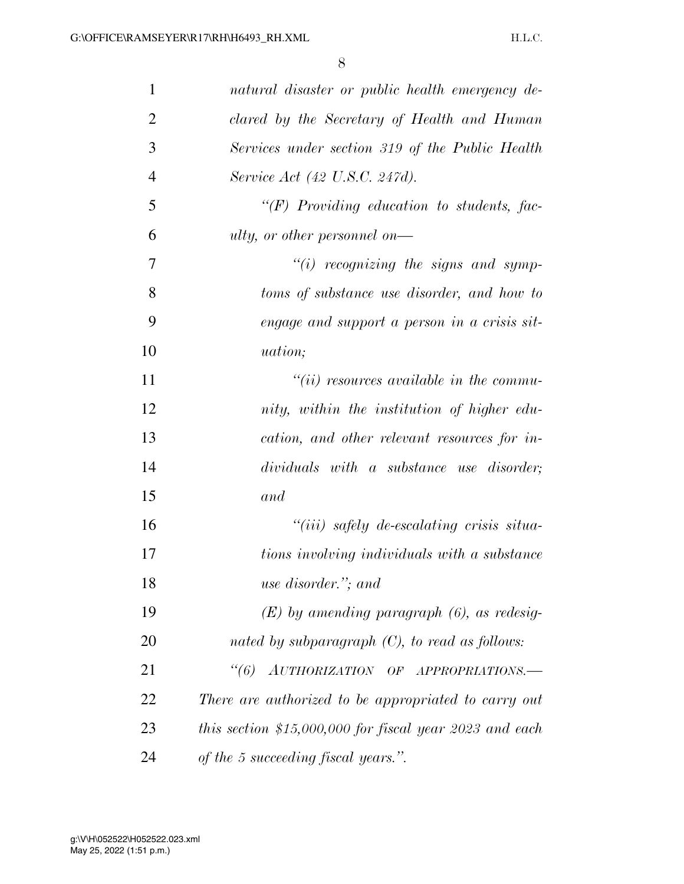| $\mathbf{1}$   | natural disaster or public health emergency de-         |
|----------------|---------------------------------------------------------|
| $\overline{2}$ | clared by the Secretary of Health and Human             |
| 3              | Services under section 319 of the Public Health         |
| $\overline{4}$ | Service Act (42 U.S.C. 247d).                           |
| 5              | $\lq\lq(F)$ Providing education to students, fac-       |
| 6              | ulty, or other personnel on—                            |
| 7              | $"(i)$ recognizing the signs and symp-                  |
| 8              | toms of substance use disorder, and how to              |
| 9              | engage and support a person in a crisis sit-            |
| 10             | <i>uation</i> ;                                         |
| 11             | $``(ii)$ resources available in the commu-              |
| 12             | nity, within the institution of higher edu-             |
| 13             | cation, and other relevant resources for in-            |
| 14             | dividuals with a substance use disorder;                |
| 15             | and                                                     |
| 16             | $``(iii)$ safely de-escalating crisis situa-            |
| 17             | tions involving individuals with a substance            |
| 18             | use disorder."; and                                     |
| 19             | $(E)$ by amending paragraph $(6)$ , as redesig-         |
| 20             | nated by subparagraph $(C)$ , to read as follows:       |
| 21             | "(6) AUTHORIZATION OF APPROPRIATIONS.-                  |
| 22             | There are authorized to be appropriated to carry out    |
| 23             | this section \$15,000,000 for fiscal year 2023 and each |
| 24             | of the 5 succeeding fiscal years.".                     |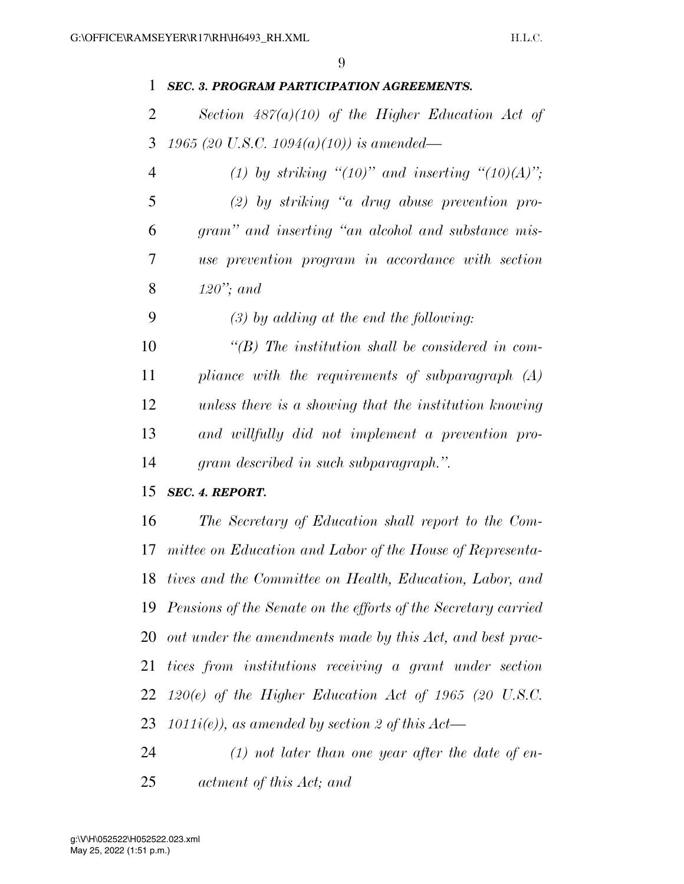### *SEC. 3. PROGRAM PARTICIPATION AGREEMENTS.*

 *Section 487(a)(10) of the Higher Education Act of 1965 (20 U.S.C. 1094(a)(10)) is amended—* 

 *(1) by striking ''(10)'' and inserting ''(10)(A)''; (2) by striking ''a drug abuse prevention pro- gram'' and inserting ''an alcohol and substance mis- use prevention program in accordance with section 120''; and* 

*(3) by adding at the end the following:* 

 *''(B) The institution shall be considered in com- pliance with the requirements of subparagraph (A) unless there is a showing that the institution knowing and willfully did not implement a prevention pro-gram described in such subparagraph.''.* 

*SEC. 4. REPORT.* 

 *The Secretary of Education shall report to the Com- mittee on Education and Labor of the House of Representa- tives and the Committee on Health, Education, Labor, and Pensions of the Senate on the efforts of the Secretary carried out under the amendments made by this Act, and best prac- tices from institutions receiving a grant under section 120(e) of the Higher Education Act of 1965 (20 U.S.C. 1011i(e)), as amended by section 2 of this Act—* 

 *(1) not later than one year after the date of en-actment of this Act; and*